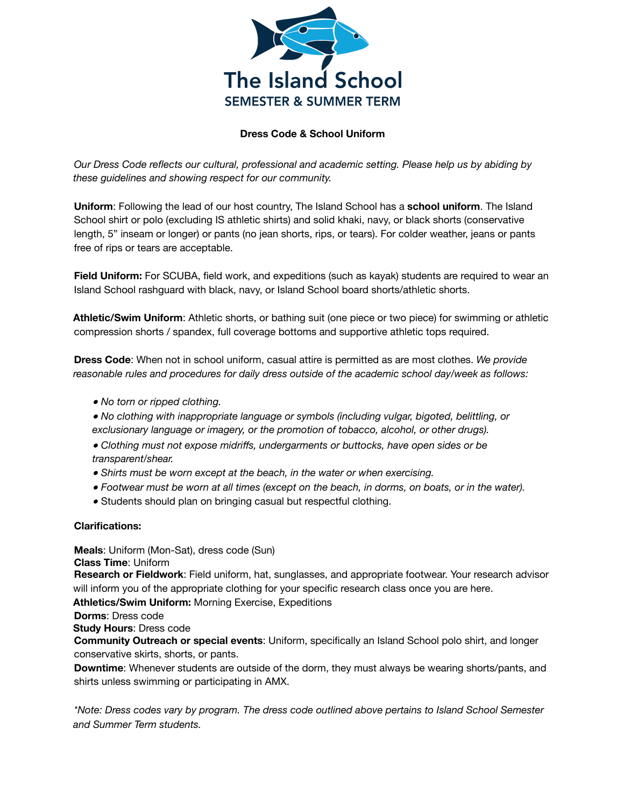

#### **Dress Code & School Uniform**

*Our Dress Code reflects our cultural, professional and academic setting. Please help us by abiding by these guidelines and showing respect for our community.*

**Uniform**: Following the lead of our host country, The Island School has a **school uniform**. The Island School shirt or polo (excluding IS athletic shirts) and solid khaki, navy, or black shorts (conservative length, 5" inseam or longer) or pants (no jean shorts, rips, or tears). For colder weather, jeans or pants free of rips or tears are acceptable.

**Field Uniform:** For SCUBA, field work, and expeditions (such as kayak) students are required to wear an Island School rashguard with black, navy, or Island School board shorts/athletic shorts.

**Athletic/Swim Uniform**: Athletic shorts, or bathing suit (one piece or two piece) for swimming or athletic compression shorts / spandex, full coverage bottoms and supportive athletic tops required.

**Dress Code**: When not in school uniform, casual attire is permitted as are most clothes. *We provide reasonable rules and procedures for daily dress outside of the academic school day/week as follows:*

- *No torn or ripped clothing.*
- *No clothing with inappropriate language or symbols (including vulgar, bigoted, belittling, or exclusionary language or imagery, or the promotion of tobacco, alcohol, or other drugs).*
- *Clothing must not expose midriffs, undergarments or buttocks, have open sides or be transparent/shear.*
- *Shirts must be worn except at the beach, in the water or when exercising.*
- Footwear must be worn at all times (except on the beach, in dorms, on boats, or in the water).
- Students should plan on bringing casual but respectful clothing.

#### **Clarifications:**

**Meals**: Uniform (Mon-Sat), dress code (Sun) **Class Time**: Uniform

**Research or Fieldwork**: Field uniform, hat, sunglasses, and appropriate footwear. Your research advisor will inform you of the appropriate clothing for your specific research class once you are here.

**Athletics/Swim Uniform:** Morning Exercise, Expeditions

**Dorms**: Dress code

**Study Hours**: Dress code

**Community Outreach or special events**: Uniform, specifically an Island School polo shirt, and longer conservative skirts, shorts, or pants.

**Downtime**: Whenever students are outside of the dorm, they must always be wearing shorts/pants, and shirts unless swimming or participating in AMX.

*\*Note: Dress codes vary by program. The dress code outlined above pertains to Island School Semester and Summer Term students.*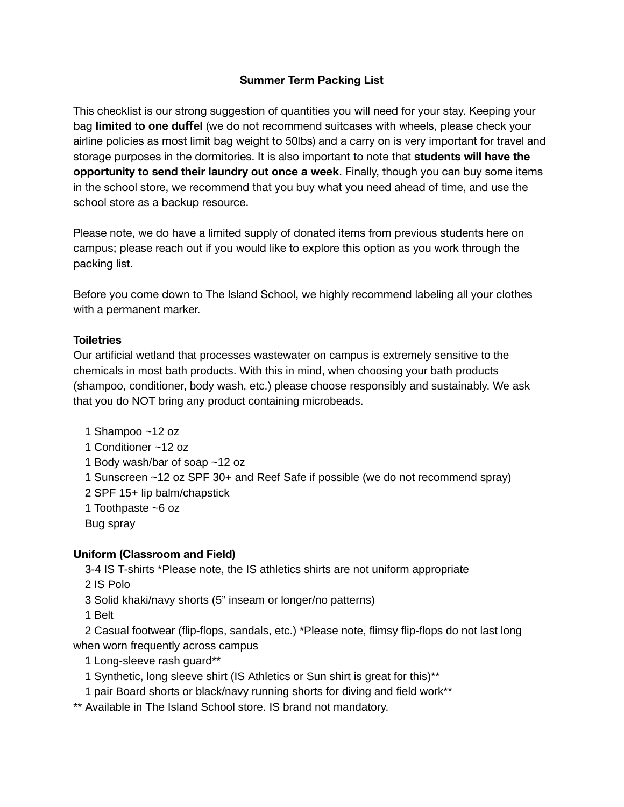# **Summer Term Packing List**

This checklist is our strong suggestion of quantities you will need for your stay. Keeping your bag **limited to one duffel** (we do not recommend suitcases with wheels, please check your airline policies as most limit bag weight to 50lbs) and a carry on is very important for travel and storage purposes in the dormitories. It is also important to note that **students will have the opportunity to send their laundry out once a week**. Finally, though you can buy some items in the school store, we recommend that you buy what you need ahead of time, and use the school store as a backup resource.

Please note, we do have a limited supply of donated items from previous students here on campus; please reach out if you would like to explore this option as you work through the packing list.

Before you come down to The Island School, we highly recommend labeling all your clothes with a permanent marker.

### **Toiletries**

Our articial wetland that processes wastewater on campus is extremely sensitive to the chemicals in most bath products. With this in mind, when choosing your bath products (shampoo, conditioner, body wash, etc.) please choose responsibly and sustainably. We ask that you do NOT bring any product containing microbeads.

 Shampoo ~12 oz Conditioner ~12 oz Body wash/bar of soap ~12 oz Sunscreen ~12 oz SPF 30+ and Reef Safe if possible (we do not recommend spray) SPF 15+ lip balm/chapstick Toothpaste ~6 oz Bug spray

### **Uniform (Classroom and Field)**

3-4 IS T-shirts \*Please note, the IS athletics shirts are not uniform appropriate

2 IS Polo

3 Solid khaki/navy shorts (5" inseam or longer/no patterns)

1 Belt

2 Casual footwear (flip-flops, sandals, etc.) \*Please note, flimsy flip-flops do not last long when worn frequently across campus

1 Long-sleeve rash guard\*\*

1 Synthetic, long sleeve shirt (IS Athletics or Sun shirt is great for this)\*\*

1 pair Board shorts or black/navy running shorts for diving and field work\*\*

\*\* Available in The Island School store. IS brand not mandatory.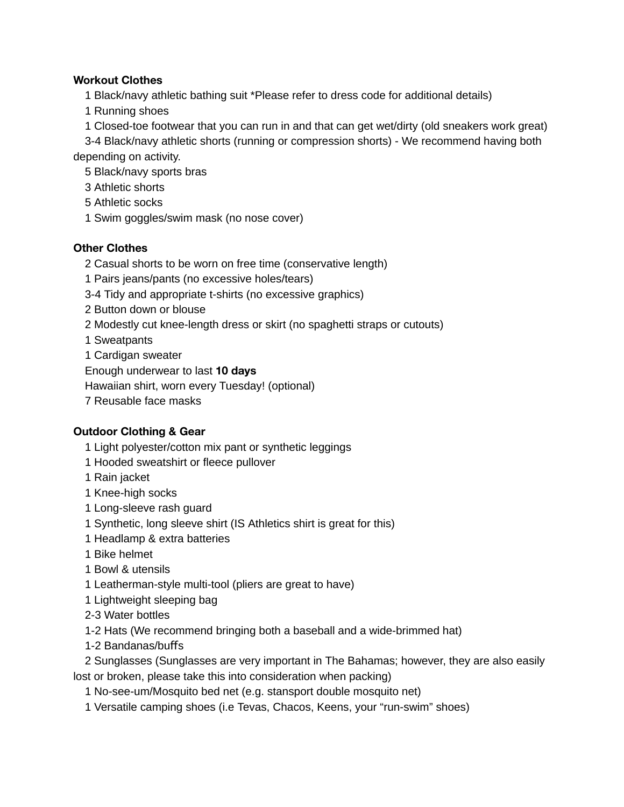### **Workout Clothes**

Black/navy athletic bathing suit \*Please refer to dress code for additional details)

- Running shoes
- Closed-toe footwear that you can run in and that can get wet/dirty (old sneakers work great)

3-4 Black/navy athletic shorts (running or compression shorts) - We recommend having both depending on activity.

Black/navy sports bras

- Athletic shorts
- Athletic socks
- Swim goggles/swim mask (no nose cover)

# **Other Clothes**

Casual shorts to be worn on free time (conservative length)

- Pairs jeans/pants (no excessive holes/tears)
- 3-4 Tidy and appropriate t-shirts (no excessive graphics)
- Button down or blouse
- Modestly cut knee-length dress or skirt (no spaghetti straps or cutouts)
- Sweatpants
- Cardigan sweater
- Enough underwear to last **10 days**
- Hawaiian shirt, worn every Tuesday! (optional)
- Reusable face masks

# **Outdoor Clothing & Gear**

- Light polyester/cotton mix pant or synthetic leggings
- 1 Hooded sweatshirt or fleece pullover
- Rain jacket
- Knee-high socks
- Long-sleeve rash guard
- Synthetic, long sleeve shirt (IS Athletics shirt is great for this)
- Headlamp & extra batteries
- Bike helmet
- Bowl & utensils
- Leatherman-style multi-tool (pliers are great to have)
- Lightweight sleeping bag
- 2-3 Water bottles
- 1-2 Hats (We recommend bringing both a baseball and a wide-brimmed hat)
- 1-2 Bandanas/buffs

 Sunglasses (Sunglasses are very important in The Bahamas; however, they are also easily lost or broken, please take this into consideration when packing)

No-see-um/Mosquito bed net (e.g. stansport double mosquito net)

Versatile camping shoes (i.e Tevas, Chacos, Keens, your "run-swim" shoes)